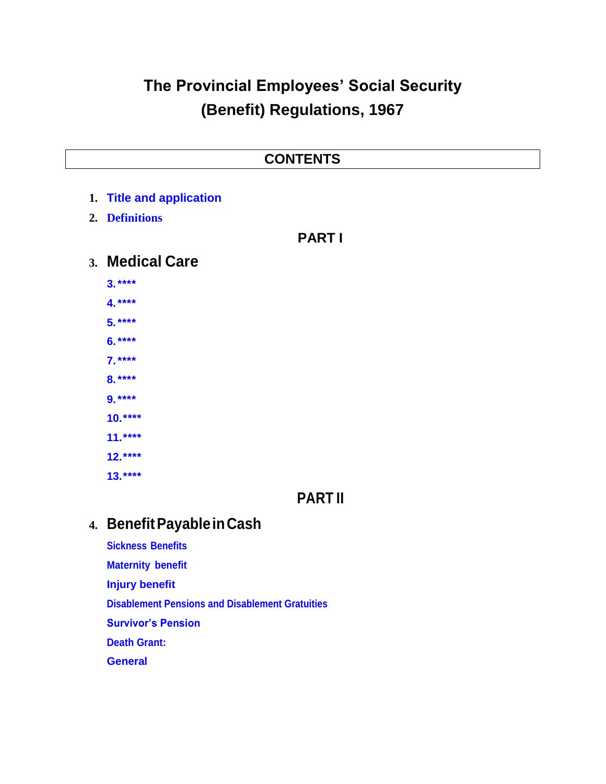# **The Provincial Employees' Social Security (Benefit) Regulations, 1967**

## **CONTENTS**

- **1. Title and application**
- **2. Definitions**

#### **PART I**

- **3. Medical Care**
	- **3.\*\*\*\* 4.\*\*\*\* 5.\*\*\*\* 6.\*\*\*\* 7.\*\*\*\* 8.\*\*\*\* 9.\*\*\*\* 10.\*\*\*\* 11.\*\*\*\* 12.\*\*\*\***
	- **13.\*\*\*\***

# **PART II**

# **4. BenefitPayableinCash**

- **Sickness Benefits**
- **Maternity benefit**
- **Injury benefit**
- **Disablement Pensions and Disablement Gratuities**
- **Survivor's Pension**
- **Death Grant:**
- **General**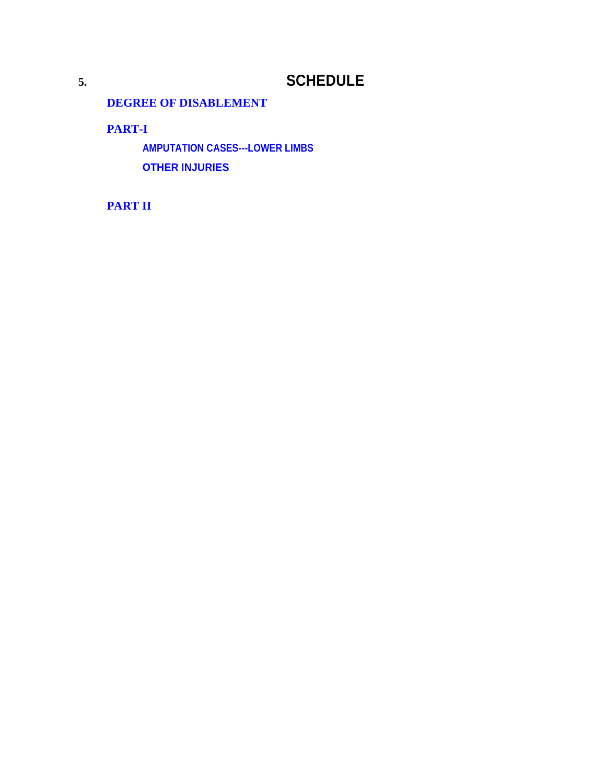# **5. SCHEDULE**

#### **DEGREE OF DISABLEMENT**

**PART-I**

**AMPUTATION CASES---LOWER LIMBS OTHER INJURIES**

#### **PART II**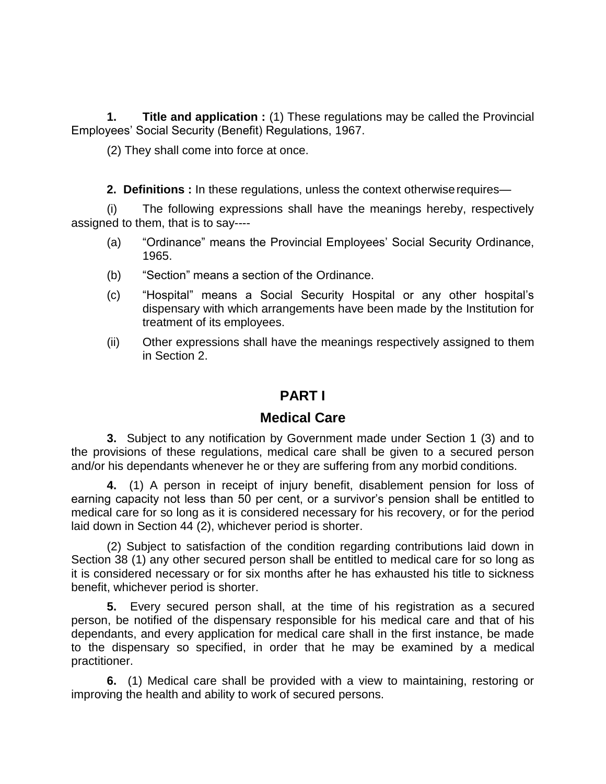**1. Title and application :** (1) These regulations may be called the Provincial Employees' Social Security (Benefit) Regulations, 1967.

(2) They shall come into force at once.

**2. Definitions :** In these regulations, unless the context otherwiserequires—

(i) The following expressions shall have the meanings hereby, respectively assigned to them, that is to say----

- (a) "Ordinance" means the Provincial Employees' Social Security Ordinance, 1965.
- (b) "Section" means a section of the Ordinance.
- (c) "Hospital" means a Social Security Hospital or any other hospital's dispensary with which arrangements have been made by the Institution for treatment of its employees.
- (ii) Other expressions shall have the meanings respectively assigned to them in Section 2.

# **PART I**

#### **Medical Care**

**3.** Subject to any notification by Government made under Section 1 (3) and to the provisions of these regulations, medical care shall be given to a secured person and/or his dependants whenever he or they are suffering from any morbid conditions.

**4.** (1) A person in receipt of injury benefit, disablement pension for loss of earning capacity not less than 50 per cent, or a survivor's pension shall be entitled to medical care for so long as it is considered necessary for his recovery, or for the period laid down in Section 44 (2), whichever period is shorter.

(2) Subject to satisfaction of the condition regarding contributions laid down in Section 38 (1) any other secured person shall be entitled to medical care for so long as it is considered necessary or for six months after he has exhausted his title to sickness benefit, whichever period is shorter.

**5.** Every secured person shall, at the time of his registration as a secured person, be notified of the dispensary responsible for his medical care and that of his dependants, and every application for medical care shall in the first instance, be made to the dispensary so specified, in order that he may be examined by a medical practitioner.

**6.** (1) Medical care shall be provided with a view to maintaining, restoring or improving the health and ability to work of secured persons.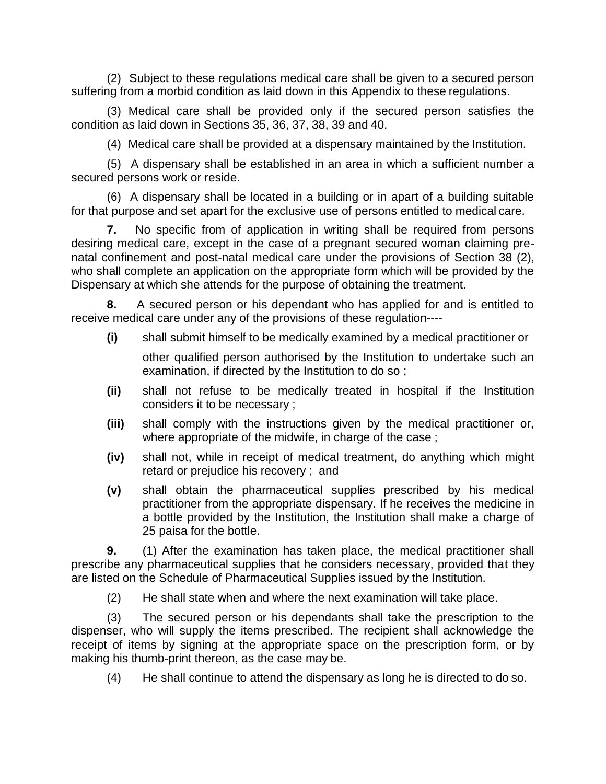(2) Subject to these regulations medical care shall be given to a secured person suffering from a morbid condition as laid down in this Appendix to these regulations.

(3) Medical care shall be provided only if the secured person satisfies the condition as laid down in Sections 35, 36, 37, 38, 39 and 40.

(4) Medical care shall be provided at a dispensary maintained by the Institution.

(5) A dispensary shall be established in an area in which a sufficient number a secured persons work or reside.

(6) A dispensary shall be located in a building or in apart of a building suitable for that purpose and set apart for the exclusive use of persons entitled to medical care.

**7.** No specific from of application in writing shall be required from persons desiring medical care, except in the case of a pregnant secured woman claiming prenatal confinement and post-natal medical care under the provisions of Section 38 (2), who shall complete an application on the appropriate form which will be provided by the Dispensary at which she attends for the purpose of obtaining the treatment.

**8.** A secured person or his dependant who has applied for and is entitled to receive medical care under any of the provisions of these regulation----

**(i)** shall submit himself to be medically examined by a medical practitioner or

other qualified person authorised by the Institution to undertake such an examination, if directed by the Institution to do so ;

- **(ii)** shall not refuse to be medically treated in hospital if the Institution considers it to be necessary ;
- **(iii)** shall comply with the instructions given by the medical practitioner or, where appropriate of the midwife, in charge of the case ;
- **(iv)** shall not, while in receipt of medical treatment, do anything which might retard or prejudice his recovery ; and
- **(v)** shall obtain the pharmaceutical supplies prescribed by his medical practitioner from the appropriate dispensary. If he receives the medicine in a bottle provided by the Institution, the Institution shall make a charge of 25 paisa for the bottle.

**9.** (1) After the examination has taken place, the medical practitioner shall prescribe any pharmaceutical supplies that he considers necessary, provided that they are listed on the Schedule of Pharmaceutical Supplies issued by the Institution.

(2) He shall state when and where the next examination will take place.

(3) The secured person or his dependants shall take the prescription to the dispenser, who will supply the items prescribed. The recipient shall acknowledge the receipt of items by signing at the appropriate space on the prescription form, or by making his thumb-print thereon, as the case may be.

(4) He shall continue to attend the dispensary as long he is directed to do so.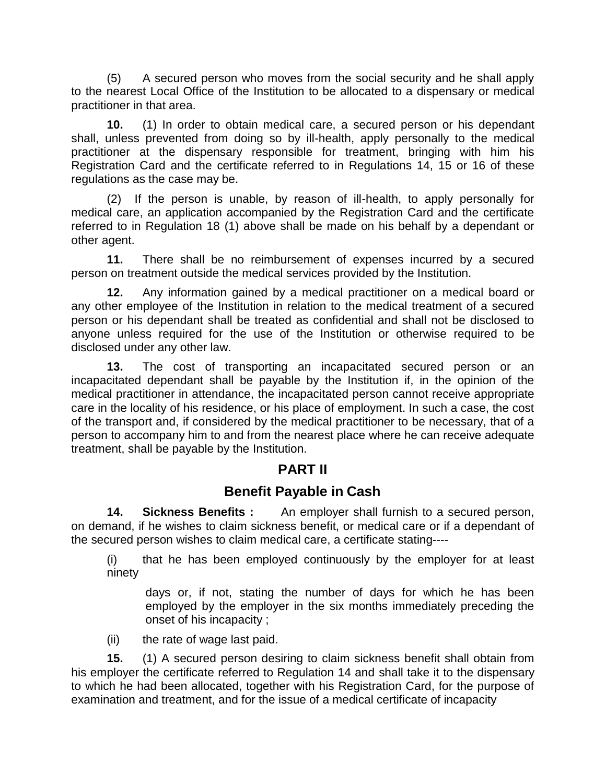(5) A secured person who moves from the social security and he shall apply to the nearest Local Office of the Institution to be allocated to a dispensary or medical practitioner in that area.

**10.** (1) In order to obtain medical care, a secured person or his dependant shall, unless prevented from doing so by ill-health, apply personally to the medical practitioner at the dispensary responsible for treatment, bringing with him his Registration Card and the certificate referred to in Regulations 14, 15 or 16 of these regulations as the case may be.

(2) If the person is unable, by reason of ill-health, to apply personally for medical care, an application accompanied by the Registration Card and the certificate referred to in Regulation 18 (1) above shall be made on his behalf by a dependant or other agent.

**11.** There shall be no reimbursement of expenses incurred by a secured person on treatment outside the medical services provided by the Institution.

**12.** Any information gained by a medical practitioner on a medical board or any other employee of the Institution in relation to the medical treatment of a secured person or his dependant shall be treated as confidential and shall not be disclosed to anyone unless required for the use of the Institution or otherwise required to be disclosed under any other law.

**13.** The cost of transporting an incapacitated secured person or an incapacitated dependant shall be payable by the Institution if, in the opinion of the medical practitioner in attendance, the incapacitated person cannot receive appropriate care in the locality of his residence, or his place of employment. In such a case, the cost of the transport and, if considered by the medical practitioner to be necessary, that of a person to accompany him to and from the nearest place where he can receive adequate treatment, shall be payable by the Institution.

### **PART II**

### **Benefit Payable in Cash**

**14. Sickness Benefits :** An employer shall furnish to a secured person, on demand, if he wishes to claim sickness benefit, or medical care or if a dependant of the secured person wishes to claim medical care, a certificate stating----

(i) that he has been employed continuously by the employer for at least ninety

days or, if not, stating the number of days for which he has been employed by the employer in the six months immediately preceding the onset of his incapacity ;

(ii) the rate of wage last paid.

**15.** (1) A secured person desiring to claim sickness benefit shall obtain from his employer the certificate referred to Regulation 14 and shall take it to the dispensary to which he had been allocated, together with his Registration Card, for the purpose of examination and treatment, and for the issue of a medical certificate of incapacity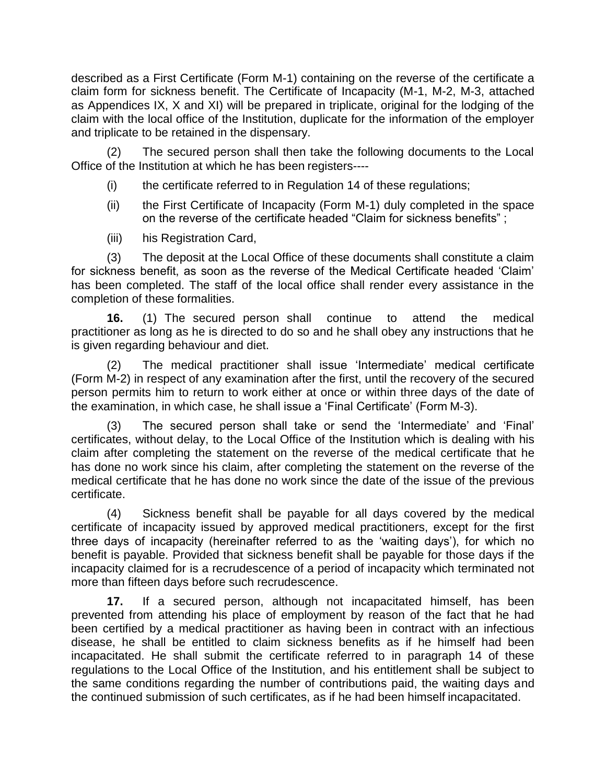described as a First Certificate (Form M-1) containing on the reverse of the certificate a claim form for sickness benefit. The Certificate of Incapacity (M-1, M-2, M-3, attached as Appendices IX, X and XI) will be prepared in triplicate, original for the lodging of the claim with the local office of the Institution, duplicate for the information of the employer and triplicate to be retained in the dispensary.

(2) The secured person shall then take the following documents to the Local Office of the Institution at which he has been registers----

- (i) the certificate referred to in Regulation 14 of these regulations;
- (ii) the First Certificate of Incapacity (Form M-1) duly completed in the space on the reverse of the certificate headed "Claim for sickness benefits" ;
- (iii) his Registration Card,

(3) The deposit at the Local Office of these documents shall constitute a claim for sickness benefit, as soon as the reverse of the Medical Certificate headed 'Claim' has been completed. The staff of the local office shall render every assistance in the completion of these formalities.

**16.** (1) The secured person shall continue to attend the medical practitioner as long as he is directed to do so and he shall obey any instructions that he is given regarding behaviour and diet.

(2) The medical practitioner shall issue 'Intermediate' medical certificate (Form M-2) in respect of any examination after the first, until the recovery of the secured person permits him to return to work either at once or within three days of the date of the examination, in which case, he shall issue a 'Final Certificate' (Form M-3).

(3) The secured person shall take or send the 'Intermediate' and 'Final' certificates, without delay, to the Local Office of the Institution which is dealing with his claim after completing the statement on the reverse of the medical certificate that he has done no work since his claim, after completing the statement on the reverse of the medical certificate that he has done no work since the date of the issue of the previous certificate.

(4) Sickness benefit shall be payable for all days covered by the medical certificate of incapacity issued by approved medical practitioners, except for the first three days of incapacity (hereinafter referred to as the 'waiting days'), for which no benefit is payable. Provided that sickness benefit shall be payable for those days if the incapacity claimed for is a recrudescence of a period of incapacity which terminated not more than fifteen days before such recrudescence.

**17.** If a secured person, although not incapacitated himself, has been prevented from attending his place of employment by reason of the fact that he had been certified by a medical practitioner as having been in contract with an infectious disease, he shall be entitled to claim sickness benefits as if he himself had been incapacitated. He shall submit the certificate referred to in paragraph 14 of these regulations to the Local Office of the Institution, and his entitlement shall be subject to the same conditions regarding the number of contributions paid, the waiting days and the continued submission of such certificates, as if he had been himself incapacitated.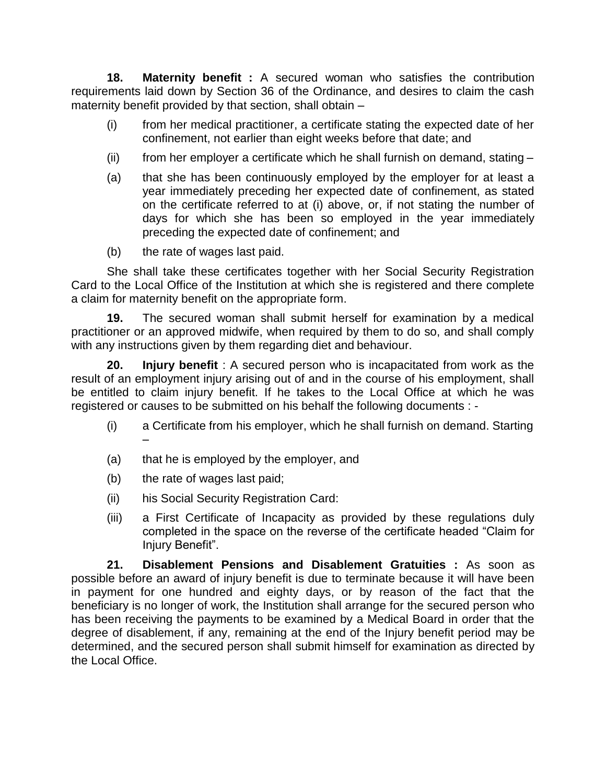**18. Maternity benefit :** A secured woman who satisfies the contribution requirements laid down by Section 36 of the Ordinance, and desires to claim the cash maternity benefit provided by that section, shall obtain –

- (i) from her medical practitioner, a certificate stating the expected date of her confinement, not earlier than eight weeks before that date; and
- (ii) from her employer a certificate which he shall furnish on demand, stating  $-$
- (a) that she has been continuously employed by the employer for at least a year immediately preceding her expected date of confinement, as stated on the certificate referred to at (i) above, or, if not stating the number of days for which she has been so employed in the year immediately preceding the expected date of confinement; and
- (b) the rate of wages last paid.

She shall take these certificates together with her Social Security Registration Card to the Local Office of the Institution at which she is registered and there complete a claim for maternity benefit on the appropriate form.

**19.** The secured woman shall submit herself for examination by a medical practitioner or an approved midwife, when required by them to do so, and shall comply with any instructions given by them regarding diet and behaviour.

**20. Injury benefit** : A secured person who is incapacitated from work as the result of an employment injury arising out of and in the course of his employment, shall be entitled to claim injury benefit. If he takes to the Local Office at which he was registered or causes to be submitted on his behalf the following documents : -

- (i) a Certificate from his employer, which he shall furnish on demand. Starting –
- (a) that he is employed by the employer, and
- (b) the rate of wages last paid;
- (ii) his Social Security Registration Card:
- (iii) a First Certificate of Incapacity as provided by these regulations duly completed in the space on the reverse of the certificate headed "Claim for Injury Benefit".

**21. Disablement Pensions and Disablement Gratuities :** As soon as possible before an award of injury benefit is due to terminate because it will have been in payment for one hundred and eighty days, or by reason of the fact that the beneficiary is no longer of work, the Institution shall arrange for the secured person who has been receiving the payments to be examined by a Medical Board in order that the degree of disablement, if any, remaining at the end of the Injury benefit period may be determined, and the secured person shall submit himself for examination as directed by the Local Office.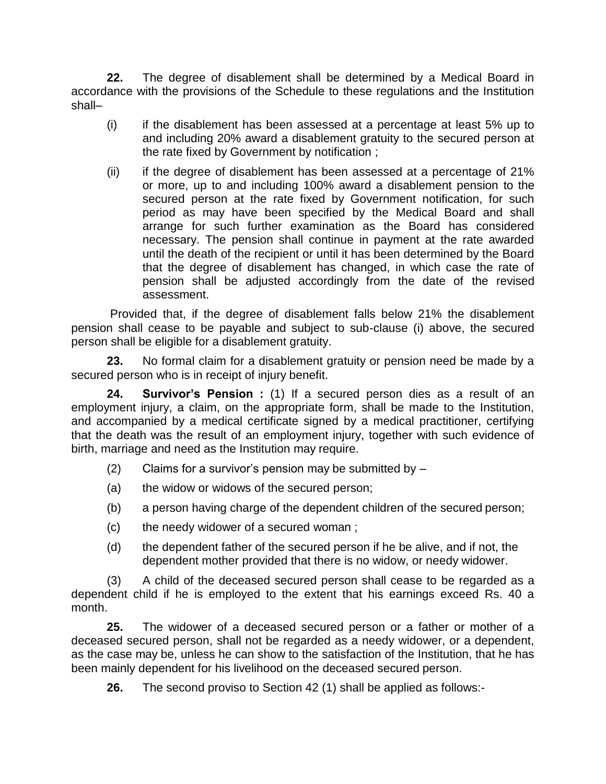**22.** The degree of disablement shall be determined by a Medical Board in accordance with the provisions of the Schedule to these regulations and the Institution shall–

- (i) if the disablement has been assessed at a percentage at least 5% up to and including 20% award a disablement gratuity to the secured person at the rate fixed by Government by notification ;
- (ii) if the degree of disablement has been assessed at a percentage of 21% or more, up to and including 100% award a disablement pension to the secured person at the rate fixed by Government notification, for such period as may have been specified by the Medical Board and shall arrange for such further examination as the Board has considered necessary. The pension shall continue in payment at the rate awarded until the death of the recipient or until it has been determined by the Board that the degree of disablement has changed, in which case the rate of pension shall be adjusted accordingly from the date of the revised assessment.

Provided that, if the degree of disablement falls below 21% the disablement pension shall cease to be payable and subject to sub-clause (i) above, the secured person shall be eligible for a disablement gratuity.

**23.** No formal claim for a disablement gratuity or pension need be made by a secured person who is in receipt of injury benefit.

**24. Survivor's Pension :** (1) If a secured person dies as a result of an employment injury, a claim, on the appropriate form, shall be made to the Institution, and accompanied by a medical certificate signed by a medical practitioner, certifying that the death was the result of an employment injury, together with such evidence of birth, marriage and need as the Institution may require.

- (2) Claims for a survivor's pension may be submitted by –
- (a) the widow or widows of the secured person;
- (b) a person having charge of the dependent children of the secured person;
- (c) the needy widower of a secured woman ;
- (d) the dependent father of the secured person if he be alive, and if not, the dependent mother provided that there is no widow, or needy widower.

(3) A child of the deceased secured person shall cease to be regarded as a dependent child if he is employed to the extent that his earnings exceed Rs. 40 a month.

**25.** The widower of a deceased secured person or a father or mother of a deceased secured person, shall not be regarded as a needy widower, or a dependent, as the case may be, unless he can show to the satisfaction of the Institution, that he has been mainly dependent for his livelihood on the deceased secured person.

**26.** The second proviso to Section 42 (1) shall be applied as follows:-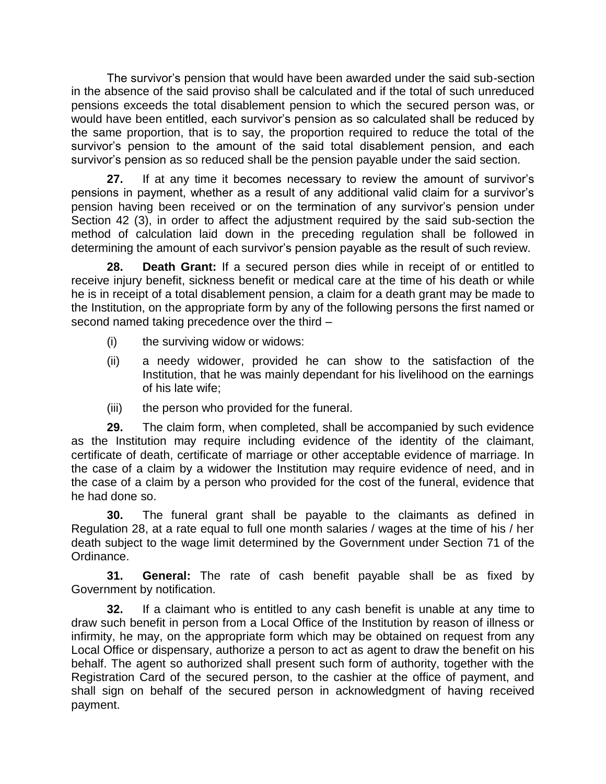The survivor's pension that would have been awarded under the said sub-section in the absence of the said proviso shall be calculated and if the total of such unreduced pensions exceeds the total disablement pension to which the secured person was, or would have been entitled, each survivor's pension as so calculated shall be reduced by the same proportion, that is to say, the proportion required to reduce the total of the survivor's pension to the amount of the said total disablement pension, and each survivor's pension as so reduced shall be the pension payable under the said section.

**27.** If at any time it becomes necessary to review the amount of survivor's pensions in payment, whether as a result of any additional valid claim for a survivor's pension having been received or on the termination of any survivor's pension under Section 42 (3), in order to affect the adjustment required by the said sub-section the method of calculation laid down in the preceding regulation shall be followed in determining the amount of each survivor's pension payable as the result of such review.

**28. Death Grant:** If a secured person dies while in receipt of or entitled to receive injury benefit, sickness benefit or medical care at the time of his death or while he is in receipt of a total disablement pension, a claim for a death grant may be made to the Institution, on the appropriate form by any of the following persons the first named or second named taking precedence over the third –

- (i) the surviving widow or widows:
- (ii) a needy widower, provided he can show to the satisfaction of the Institution, that he was mainly dependant for his livelihood on the earnings of his late wife;
- (iii) the person who provided for the funeral.

**29.** The claim form, when completed, shall be accompanied by such evidence as the Institution may require including evidence of the identity of the claimant, certificate of death, certificate of marriage or other acceptable evidence of marriage. In the case of a claim by a widower the Institution may require evidence of need, and in the case of a claim by a person who provided for the cost of the funeral, evidence that he had done so.

**30.** The funeral grant shall be payable to the claimants as defined in Regulation 28, at a rate equal to full one month salaries / wages at the time of his / her death subject to the wage limit determined by the Government under Section 71 of the Ordinance.

**31. General:** The rate of cash benefit payable shall be as fixed by Government by notification.

**32.** If a claimant who is entitled to any cash benefit is unable at any time to draw such benefit in person from a Local Office of the Institution by reason of illness or infirmity, he may, on the appropriate form which may be obtained on request from any Local Office or dispensary, authorize a person to act as agent to draw the benefit on his behalf. The agent so authorized shall present such form of authority, together with the Registration Card of the secured person, to the cashier at the office of payment, and shall sign on behalf of the secured person in acknowledgment of having received payment.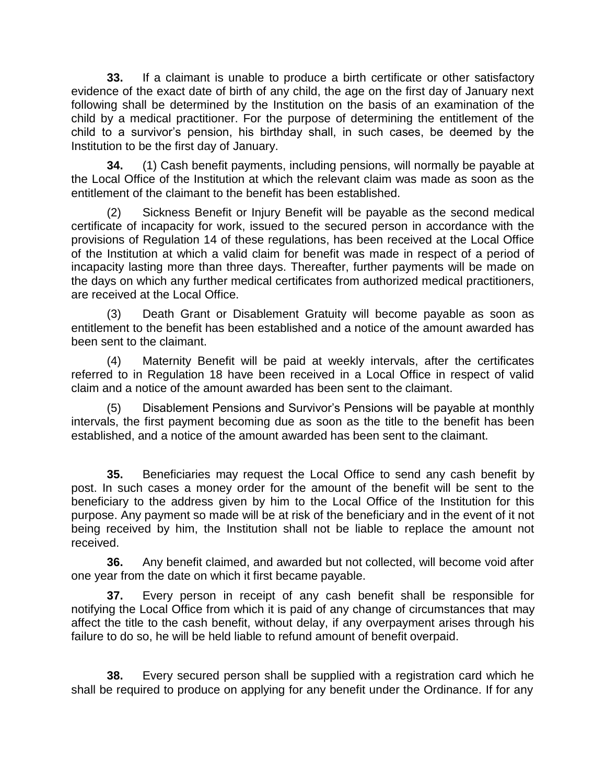**33.** If a claimant is unable to produce a birth certificate or other satisfactory evidence of the exact date of birth of any child, the age on the first day of January next following shall be determined by the Institution on the basis of an examination of the child by a medical practitioner. For the purpose of determining the entitlement of the child to a survivor's pension, his birthday shall, in such cases, be deemed by the Institution to be the first day of January.

**34.** (1) Cash benefit payments, including pensions, will normally be payable at the Local Office of the Institution at which the relevant claim was made as soon as the entitlement of the claimant to the benefit has been established.

(2) Sickness Benefit or Injury Benefit will be payable as the second medical certificate of incapacity for work, issued to the secured person in accordance with the provisions of Regulation 14 of these regulations, has been received at the Local Office of the Institution at which a valid claim for benefit was made in respect of a period of incapacity lasting more than three days. Thereafter, further payments will be made on the days on which any further medical certificates from authorized medical practitioners, are received at the Local Office.

(3) Death Grant or Disablement Gratuity will become payable as soon as entitlement to the benefit has been established and a notice of the amount awarded has been sent to the claimant.

(4) Maternity Benefit will be paid at weekly intervals, after the certificates referred to in Regulation 18 have been received in a Local Office in respect of valid claim and a notice of the amount awarded has been sent to the claimant.

(5) Disablement Pensions and Survivor's Pensions will be payable at monthly intervals, the first payment becoming due as soon as the title to the benefit has been established, and a notice of the amount awarded has been sent to the claimant.

**35.** Beneficiaries may request the Local Office to send any cash benefit by post. In such cases a money order for the amount of the benefit will be sent to the beneficiary to the address given by him to the Local Office of the Institution for this purpose. Any payment so made will be at risk of the beneficiary and in the event of it not being received by him, the Institution shall not be liable to replace the amount not received.

**36.** Any benefit claimed, and awarded but not collected, will become void after one year from the date on which it first became payable.

**37.** Every person in receipt of any cash benefit shall be responsible for notifying the Local Office from which it is paid of any change of circumstances that may affect the title to the cash benefit, without delay, if any overpayment arises through his failure to do so, he will be held liable to refund amount of benefit overpaid.

**38.** Every secured person shall be supplied with a registration card which he shall be required to produce on applying for any benefit under the Ordinance. If for any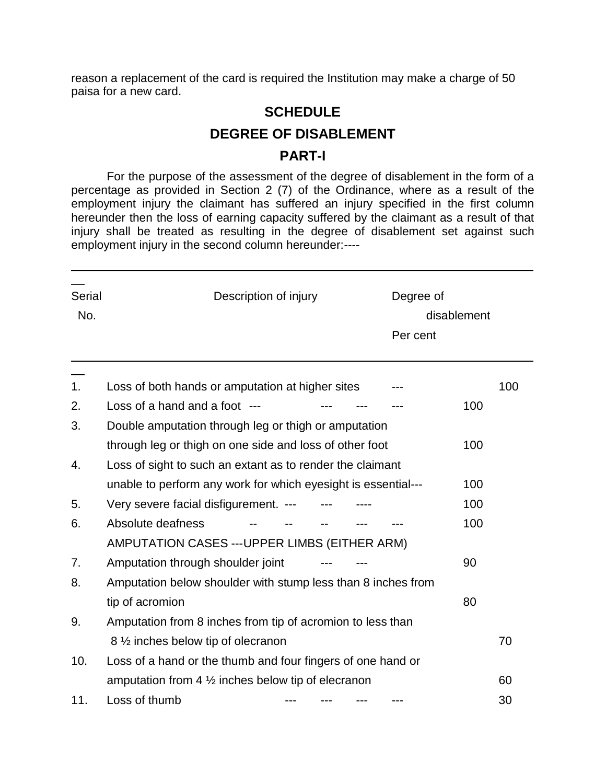reason a replacement of the card is required the Institution may make a charge of 50 paisa for a new card.

#### **SCHEDULE**

# **DEGREE OF DISABLEMENT**

#### **PART-I**

For the purpose of the assessment of the degree of disablement in the form of a percentage as provided in Section 2 (7) of the Ordinance, where as a result of the employment injury the claimant has suffered an injury specified in the first column hereunder then the loss of earning capacity suffered by the claimant as a result of that injury shall be treated as resulting in the degree of disablement set against such employment injury in the second column hereunder:----

| <b>Serial</b><br>No. | Description of injury                                         |  | Degree of<br>disablement |     |  |  |  |
|----------------------|---------------------------------------------------------------|--|--------------------------|-----|--|--|--|
|                      |                                                               |  | Per cent                 |     |  |  |  |
| 1.                   | Loss of both hands or amputation at higher sites              |  |                          | 100 |  |  |  |
| 2.                   | Loss of a hand and a foot ---                                 |  | 100                      |     |  |  |  |
| 3.                   | Double amputation through leg or thigh or amputation          |  |                          |     |  |  |  |
|                      | through leg or thigh on one side and loss of other foot       |  | 100                      |     |  |  |  |
| 4.                   | Loss of sight to such an extant as to render the claimant     |  |                          |     |  |  |  |
|                      | unable to perform any work for which eyesight is essential--- |  | 100                      |     |  |  |  |
| 5.                   | Very severe facial disfigurement. ---                         |  | 100                      |     |  |  |  |
| 6.                   | Absolute deafness                                             |  | 100                      |     |  |  |  |
|                      | AMPUTATION CASES --- UPPER LIMBS (EITHER ARM)                 |  |                          |     |  |  |  |
| 7.                   | Amputation through shoulder joint                             |  | 90                       |     |  |  |  |
| 8.                   | Amputation below shoulder with stump less than 8 inches from  |  |                          |     |  |  |  |
|                      | tip of acromion                                               |  | 80                       |     |  |  |  |
| 9.                   | Amputation from 8 inches from tip of acromion to less than    |  |                          |     |  |  |  |
|                      | 8 1/2 inches below tip of olecranon                           |  |                          | 70  |  |  |  |
| 10.                  | Loss of a hand or the thumb and four fingers of one hand or   |  |                          |     |  |  |  |
|                      | amputation from 4 $\frac{1}{2}$ inches below tip of elecranon |  |                          | 60  |  |  |  |
| 11.                  | Loss of thumb                                                 |  |                          | 30  |  |  |  |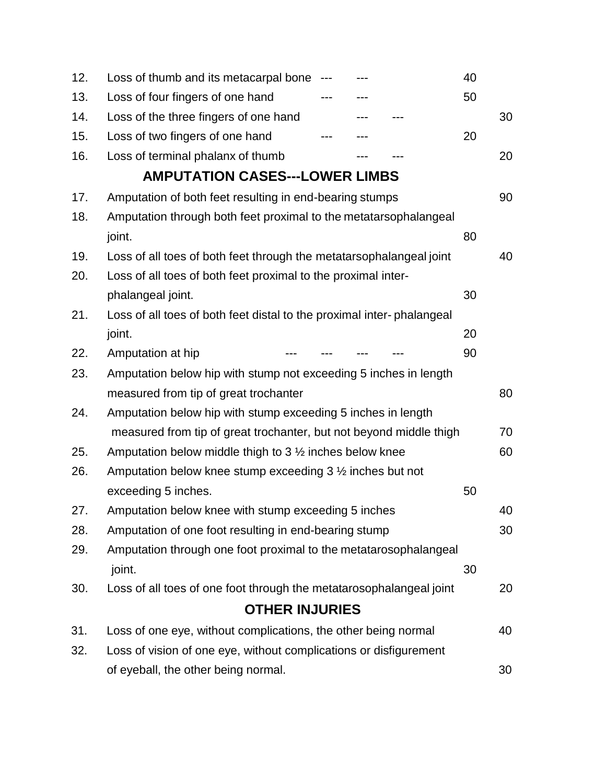| Loss of thumb and its metacarpal bone                                 | 40                                                                                                                                                                                                                                            |                                                                                                                                              |  |
|-----------------------------------------------------------------------|-----------------------------------------------------------------------------------------------------------------------------------------------------------------------------------------------------------------------------------------------|----------------------------------------------------------------------------------------------------------------------------------------------|--|
| Loss of four fingers of one hand                                      | 50                                                                                                                                                                                                                                            |                                                                                                                                              |  |
| Loss of the three fingers of one hand                                 |                                                                                                                                                                                                                                               | 30                                                                                                                                           |  |
| Loss of two fingers of one hand                                       | 20                                                                                                                                                                                                                                            |                                                                                                                                              |  |
| Loss of terminal phalanx of thumb                                     |                                                                                                                                                                                                                                               | 20                                                                                                                                           |  |
| <b>AMPUTATION CASES---LOWER LIMBS</b>                                 |                                                                                                                                                                                                                                               |                                                                                                                                              |  |
| Amputation of both feet resulting in end-bearing stumps               |                                                                                                                                                                                                                                               | 90                                                                                                                                           |  |
| Amputation through both feet proximal to the metatarsophalangeal      |                                                                                                                                                                                                                                               |                                                                                                                                              |  |
| joint.                                                                | 80                                                                                                                                                                                                                                            |                                                                                                                                              |  |
| Loss of all toes of both feet through the metatarsophalangeal joint   |                                                                                                                                                                                                                                               | 40                                                                                                                                           |  |
| Loss of all toes of both feet proximal to the proximal inter-         |                                                                                                                                                                                                                                               |                                                                                                                                              |  |
| phalangeal joint.                                                     | 30                                                                                                                                                                                                                                            |                                                                                                                                              |  |
| Loss of all toes of both feet distal to the proximal inter-phalangeal |                                                                                                                                                                                                                                               |                                                                                                                                              |  |
| joint.                                                                | 20                                                                                                                                                                                                                                            |                                                                                                                                              |  |
| Amputation at hip                                                     | 90                                                                                                                                                                                                                                            |                                                                                                                                              |  |
| Amputation below hip with stump not exceeding 5 inches in length      |                                                                                                                                                                                                                                               |                                                                                                                                              |  |
| measured from tip of great trochanter                                 |                                                                                                                                                                                                                                               | 80                                                                                                                                           |  |
| Amputation below hip with stump exceeding 5 inches in length          |                                                                                                                                                                                                                                               |                                                                                                                                              |  |
|                                                                       |                                                                                                                                                                                                                                               | 70                                                                                                                                           |  |
| Amputation below middle thigh to 3 $\frac{1}{2}$ inches below knee    |                                                                                                                                                                                                                                               |                                                                                                                                              |  |
| Amputation below knee stump exceeding $3\frac{1}{2}$ inches but not   |                                                                                                                                                                                                                                               |                                                                                                                                              |  |
|                                                                       | 50                                                                                                                                                                                                                                            |                                                                                                                                              |  |
|                                                                       |                                                                                                                                                                                                                                               | 40                                                                                                                                           |  |
|                                                                       |                                                                                                                                                                                                                                               | 30                                                                                                                                           |  |
|                                                                       |                                                                                                                                                                                                                                               |                                                                                                                                              |  |
|                                                                       |                                                                                                                                                                                                                                               |                                                                                                                                              |  |
|                                                                       |                                                                                                                                                                                                                                               | 20                                                                                                                                           |  |
|                                                                       |                                                                                                                                                                                                                                               |                                                                                                                                              |  |
| Loss of one eye, without complications, the other being normal        |                                                                                                                                                                                                                                               | 40                                                                                                                                           |  |
| Loss of vision of one eye, without complications or disfigurement     |                                                                                                                                                                                                                                               |                                                                                                                                              |  |
| of eyeball, the other being normal.                                   |                                                                                                                                                                                                                                               | 30                                                                                                                                           |  |
|                                                                       | exceeding 5 inches.<br>Amputation below knee with stump exceeding 5 inches<br>Amputation of one foot resulting in end-bearing stump<br>joint.<br>Loss of all toes of one foot through the metatarosophalangeal joint<br><b>OTHER INJURIES</b> | measured from tip of great trochanter, but not beyond middle thigh<br>Amputation through one foot proximal to the metatarosophalangeal<br>30 |  |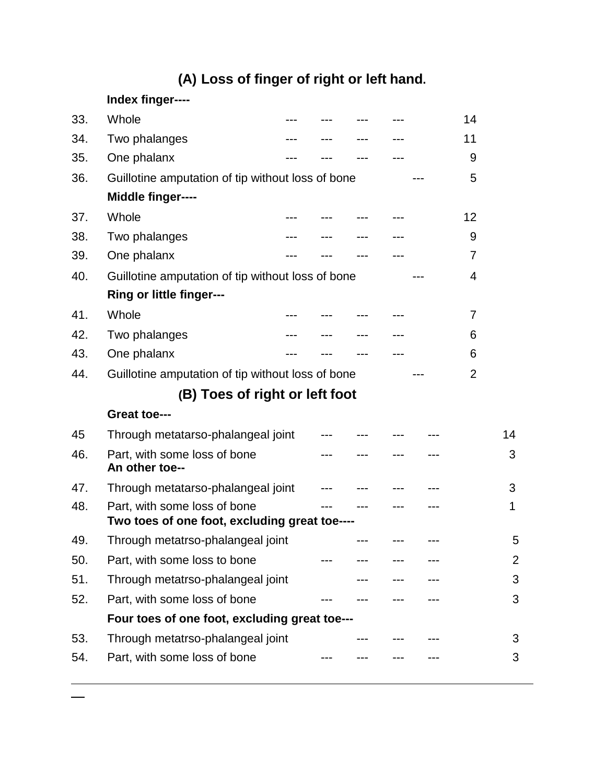# **(A) Loss of finger of right or left hand.**

| Index finger---- |
|------------------|
|                  |

| 33. | Whole                                                                         |  |  | 14             |                |
|-----|-------------------------------------------------------------------------------|--|--|----------------|----------------|
| 34. | Two phalanges                                                                 |  |  | 11             |                |
| 35. | One phalanx                                                                   |  |  | 9              |                |
| 36. | Guillotine amputation of tip without loss of bone                             |  |  | 5              |                |
|     | Middle finger----                                                             |  |  |                |                |
| 37. | Whole                                                                         |  |  | 12             |                |
| 38. | Two phalanges                                                                 |  |  | 9              |                |
| 39. | One phalanx                                                                   |  |  | $\overline{7}$ |                |
| 40. | Guillotine amputation of tip without loss of bone                             |  |  | 4              |                |
|     | <b>Ring or little finger---</b>                                               |  |  |                |                |
| 41. | Whole                                                                         |  |  | 7              |                |
| 42. | Two phalanges                                                                 |  |  | 6              |                |
| 43. | One phalanx                                                                   |  |  | 6              |                |
| 44. | Guillotine amputation of tip without loss of bone                             |  |  | $\overline{2}$ |                |
|     | (B) Toes of right or left foot                                                |  |  |                |                |
|     | Great toe---                                                                  |  |  |                |                |
| 45  | Through metatarso-phalangeal joint                                            |  |  |                | 14             |
| 46. | Part, with some loss of bone<br>An other toe--                                |  |  |                | 3              |
| 47. | Through metatarso-phalangeal joint                                            |  |  |                | 3              |
| 48. | Part, with some loss of bone<br>Two toes of one foot, excluding great toe---- |  |  |                | 1              |
| 49. | Through metatrso-phalangeal joint                                             |  |  |                | 5              |
| 50. | Part, with some loss to bone                                                  |  |  |                | $\overline{2}$ |
| 51. | Through metatrso-phalangeal joint                                             |  |  |                | 3              |
| 52. | Part, with some loss of bone                                                  |  |  |                | 3              |
|     | Four toes of one foot, excluding great toe---                                 |  |  |                |                |
| 53. | Through metatrso-phalangeal joint                                             |  |  |                | 3              |
| 54. | Part, with some loss of bone                                                  |  |  |                | 3              |
|     |                                                                               |  |  |                |                |